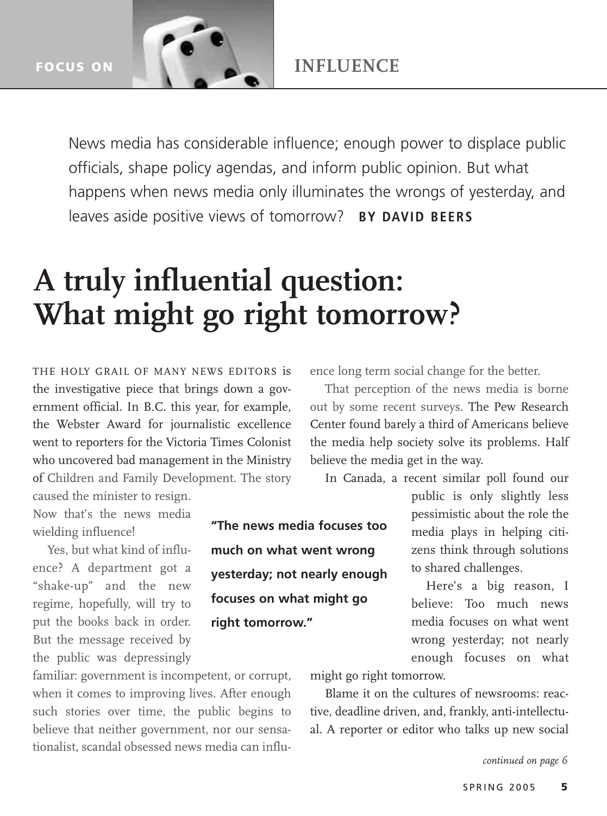**FOCUS ON**

News media has considerable influence; enough power to displace public officials, shape policy agendas, and inform public opinion. But what happens when news media only illuminates the wrongs of yesterday, and leaves aside positive views of tomorrow? **BY DAVID BEERS**

**"The news media focuses too**

**yesterday; not nearly enough**

**much on what went wrong**

**focuses on what might go**

**right tomorrow."** 

## **A truly influential question: What might go right tomorrow?**

THE HOLY GRAIL OF MANY NEWS EDITORS is the investigative piece that brings down a government official. In B.C. this year, for example, the Webster Award for journalistic excellence went to reporters for the Victoria Times Colonist who uncovered bad management in the Ministry of Children and Family Development. The story caused the minister to resign.

Now that's the news media wielding influence!

Yes, but what kind of influence? A department got a "shake-up" and the new regime, hopefully, will try to put the books back in order. But the message received by the public was depressingly

familiar: government is incompetent, or corrupt, when it comes to improving lives. After enough such stories over time, the public begins to believe that neither government, nor our sensationalist, scandal obsessed news media can influence long term social change for the better.

That perception of the news media is borne out by some recent surveys. The Pew Research Center found barely a third of Americans believe the media help society solve its problems. Half believe the media get in the way.

In Canada, a recent similar poll found our

public is only slightly less pessimistic about the role the media plays in helping citizens think through solutions to shared challenges.

Here's a big reason, I believe: Too much news media focuses on what went wrong yesterday; not nearly enough focuses on what

might go right tomorrow.

Blame it on the cultures of newsrooms: reactive, deadline driven, and, frankly, anti-intellectual. A reporter or editor who talks up new social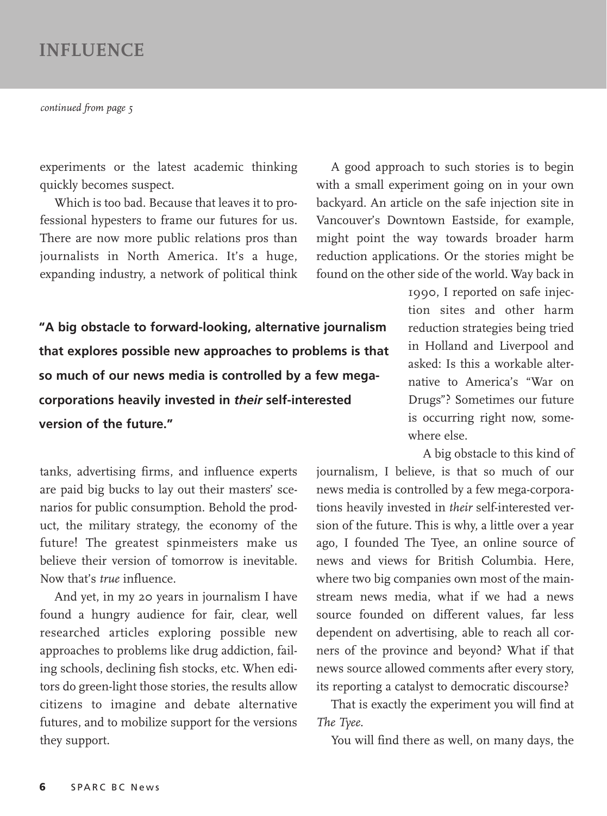## **INFLUENCE**

*continued from page 5*

experiments or the latest academic thinking quickly becomes suspect.

Which is too bad. Because that leaves it to professional hypesters to frame our futures for us. There are now more public relations pros than journalists in North America. It's a huge, expanding industry, a network of political think

A good approach to such stories is to begin with a small experiment going on in your own backyard. An article on the safe injection site in Vancouver's Downtown Eastside, for example, might point the way towards broader harm reduction applications. Or the stories might be found on the other side of the world. Way back in

**"A big obstacle to forward-looking, alternative journalism that explores possible new approaches to problems is that so much of our news media is controlled by a few megacorporations heavily invested in** *their* **self-interested version of the future."** 

1990, I reported on safe injection sites and other harm reduction strategies being tried in Holland and Liverpool and asked: Is this a workable alternative to America's "War on Drugs"? Sometimes our future is occurring right now, somewhere else.

tanks, advertising firms, and influence experts are paid big bucks to lay out their masters' scenarios for public consumption. Behold the product, the military strategy, the economy of the future! The greatest spinmeisters make us believe their version of tomorrow is inevitable. Now that's *true* influence.

And yet, in my 20 years in journalism I have found a hungry audience for fair, clear, well researched articles exploring possible new approaches to problems like drug addiction, failing schools, declining fish stocks, etc. When editors do green-light those stories, the results allow citizens to imagine and debate alternative futures, and to mobilize support for the versions they support.

A big obstacle to this kind of journalism, I believe, is that so much of our news media is controlled by a few mega-corporations heavily invested in *their* self-interested version of the future. This is why, a little over a year ago, I founded The Tyee, an online source of news and views for British Columbia. Here, where two big companies own most of the mainstream news media, what if we had a news source founded on different values, far less dependent on advertising, able to reach all corners of the province and beyond? What if that news source allowed comments after every story, its reporting a catalyst to democratic discourse?

That is exactly the experiment you will find at *The Tyee*.

You will find there as well, on many days, the